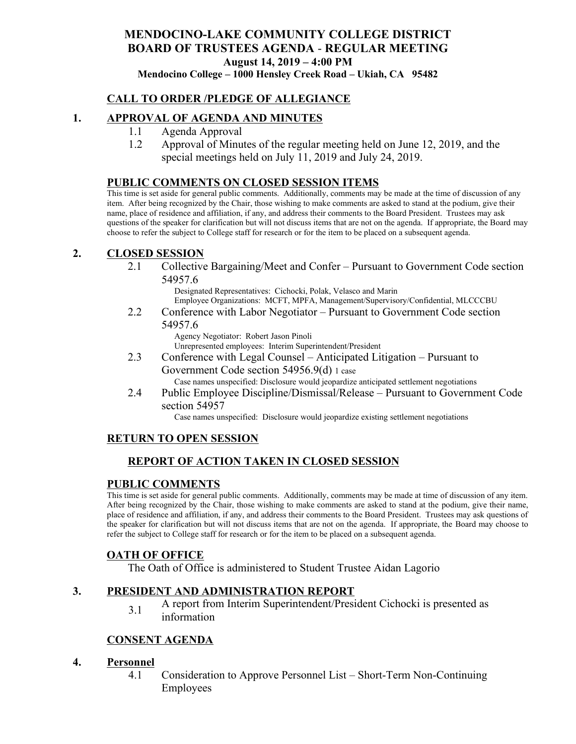# **MENDOCINO-LAKE COMMUNITY COLLEGE DISTRICT BOARD OF TRUSTEES AGENDA** - **REGULAR MEETING August 14, 2019 – 4:00 PM**

**Mendocino College – 1000 Hensley Creek Road – Ukiah, CA 95482**

### **CALL TO ORDER /PLEDGE OF ALLEGIANCE**

### **1. APPROVAL OF AGENDA AND MINUTES**

- 1.1 Agenda Approval
- 1.2 Approval of Minutes of the regular meeting held on June 12, 2019, and the special meetings held on July 11, 2019 and July 24, 2019.

#### **PUBLIC COMMENTS ON CLOSED SESSION ITEMS**

This time is set aside for general public comments. Additionally, comments may be made at the time of discussion of any item. After being recognized by the Chair, those wishing to make comments are asked to stand at the podium, give their name, place of residence and affiliation, if any, and address their comments to the Board President. Trustees may ask questions of the speaker for clarification but will not discuss items that are not on the agenda. If appropriate, the Board may choose to refer the subject to College staff for research or for the item to be placed on a subsequent agenda.

#### **2. CLOSED SESSION**

2.1 Collective Bargaining/Meet and Confer – Pursuant to Government Code section 54957.6

> Designated Representatives: Cichocki, Polak, Velasco and Marin Employee Organizations: MCFT, MPFA, Management/Supervisory/Confidential, MLCCCBU

2.2 Conference with Labor Negotiator – Pursuant to Government Code section 54957.6

Agency Negotiator: Robert Jason Pinoli Unrepresented employees: Interim Superintendent/President

- 2.3 Conference with Legal Counsel Anticipated Litigation Pursuant to Government Code section 54956.9(d) 1 case Case names unspecified: Disclosure would jeopardize anticipated settlement negotiations
- 2.4 Public Employee Discipline/Dismissal/Release Pursuant to Government Code section 54957

Case names unspecified: Disclosure would jeopardize existing settlement negotiations

### **RETURN TO OPEN SESSION**

## **REPORT OF ACTION TAKEN IN CLOSED SESSION**

#### **PUBLIC COMMENTS**

This time is set aside for general public comments. Additionally, comments may be made at time of discussion of any item. After being recognized by the Chair, those wishing to make comments are asked to stand at the podium, give their name, place of residence and affiliation, if any, and address their comments to the Board President. Trustees may ask questions of the speaker for clarification but will not discuss items that are not on the agenda. If appropriate, the Board may choose to refer the subject to College staff for research or for the item to be placed on a subsequent agenda.

#### **OATH OF OFFICE**

The Oath of Office is administered to Student Trustee Aidan Lagorio

#### **3. PRESIDENT AND ADMINISTRATION REPORT**

3.1 A report from Interim Superintendent/President Cichocki is presented as information

### **CONSENT AGENDA**

#### **4. Personnel**

4.1 Consideration to Approve Personnel List – Short-Term Non-Continuing Employees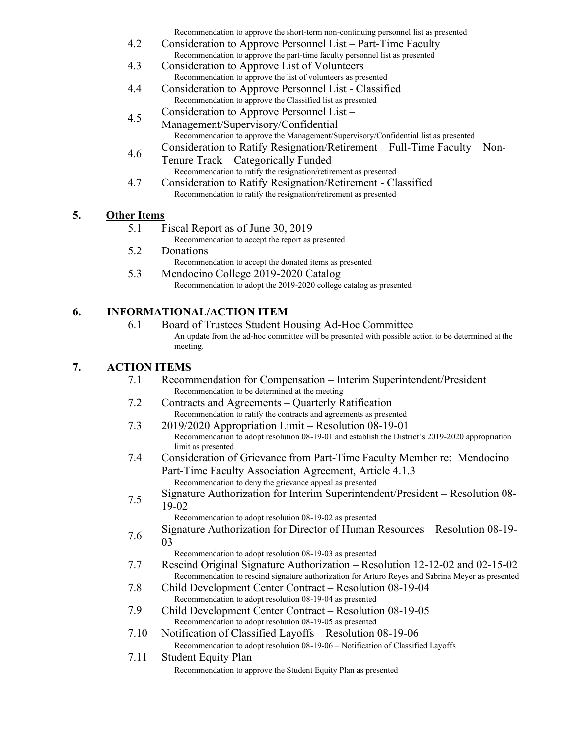Recommendation to approve the short-term non-continuing personnel list as presented

- 4.2 Consideration to Approve Personnel List Part-Time Faculty Recommendation to approve the part-time faculty personnel list as presented
- 4.3 Consideration to Approve List of Volunteers Recommendation to approve the list of volunteers as presented
- 4.4 Consideration to Approve Personnel List Classified Recommendation to approve the Classified list as presented
- 4.5 Consideration to Approve Personnel List –
	- Management/Supervisory/Confidential Recommendation to approve the Management/Supervisory/Confidential list as presented Consideration to Ratify Resignation/Retirement – Full-Time Faculty – Non-
- 4.6 Tenure Track – Categorically Funded Recommendation to ratify the resignation/retirement as presented
- 4.7 Consideration to Ratify Resignation/Retirement Classified Recommendation to ratify the resignation/retirement as presented

### **5. Other Items**

5.1 Fiscal Report as of June 30, 2019

Recommendation to accept the report as presented

- 5.2 Donations
	- Recommendation to accept the donated items as presented
- 5.3 Mendocino College 2019-2020 Catalog Recommendation to adopt the 2019-2020 college catalog as presented

### **6. INFORMATIONAL/ACTION ITEM**

6.1 Board of Trustees Student Housing Ad-Hoc Committee An update from the ad-hoc committee will be presented with possible action to be determined at the meeting.

### **7. ACTION ITEMS**

| 7.1  | Recommendation for Compensation – Interim Superintendent/President<br>Recommendation to be determined at the meeting   |
|------|------------------------------------------------------------------------------------------------------------------------|
| 7.2  | Contracts and Agreements – Quarterly Ratification                                                                      |
|      | Recommendation to ratify the contracts and agreements as presented                                                     |
| 7.3  | 2019/2020 Appropriation Limit – Resolution 08-19-01                                                                    |
|      | Recommendation to adopt resolution 08-19-01 and establish the District's 2019-2020 appropriation<br>limit as presented |
| 7.4  | Consideration of Grievance from Part-Time Faculty Member re: Mendocino                                                 |
|      | Part-Time Faculty Association Agreement, Article 4.1.3                                                                 |
|      | Recommendation to deny the grievance appeal as presented                                                               |
| 7.5  | Signature Authorization for Interim Superintendent/President – Resolution 08-                                          |
|      | 19-02                                                                                                                  |
|      | Recommendation to adopt resolution 08-19-02 as presented                                                               |
| 7.6  | Signature Authorization for Director of Human Resources – Resolution 08-19-                                            |
|      | 03                                                                                                                     |
|      | Recommendation to adopt resolution 08-19-03 as presented                                                               |
| 7.7  | Rescind Original Signature Authorization – Resolution 12-12-02 and 02-15-02                                            |
|      | Recommendation to rescind signature authorization for Arturo Reyes and Sabrina Meyer as presented                      |
| 7.8  | Child Development Center Contract – Resolution 08-19-04                                                                |
|      | Recommendation to adopt resolution 08-19-04 as presented                                                               |
| 7.9  | Child Development Center Contract – Resolution 08-19-05                                                                |
|      | Recommendation to adopt resolution 08-19-05 as presented                                                               |
| 7.10 | Notification of Classified Layoffs – Resolution 08-19-06                                                               |
|      | Recommendation to adopt resolution 08-19-06 - Notification of Classified Layoffs                                       |
| 7.11 | <b>Student Equity Plan</b>                                                                                             |
|      | Recommendation to approve the Student Equity Plan as presented                                                         |